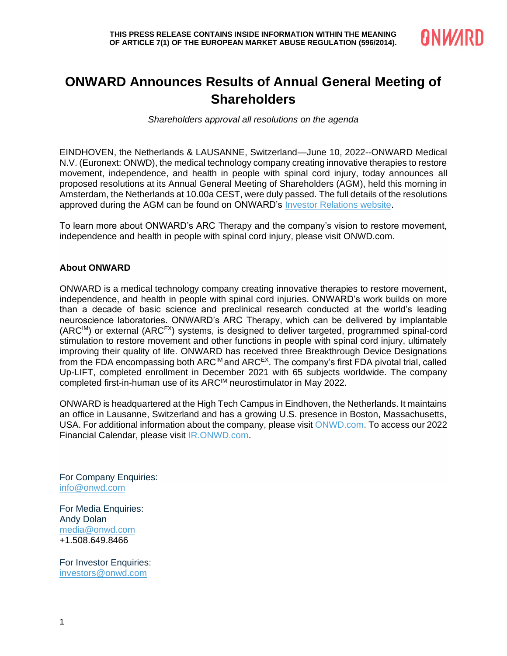

## **ONWARD Announces Results of Annual General Meeting of Shareholders**

*Shareholders approval all resolutions on the agenda*

EINDHOVEN, the Netherlands & LAUSANNE, Switzerland—June 10, 2022--ONWARD Medical N.V. (Euronext: ONWD), the medical technology company creating innovative therapies to restore movement, independence, and health in people with spinal cord injury, today announces all proposed resolutions at its Annual General Meeting of Shareholders (AGM), held this morning in Amsterdam, the Netherlands at 10.00a CEST, were duly passed. The full details of the resolutions approved during the AGM can be found on ONWARD's [Investor Relations website.](https://ir.onwd.com/)

To learn more about ONWARD's ARC Therapy and the company's vision to restore movement, independence and health in people with spinal cord injury, please visit [ONWD.com.](https://cts.businesswire.com/ct/CT?id=smartlink&url=https%3A%2F%2Fonwd.com&esheet=52360086&newsitemid=20210112005241&lan=en-US&anchor=ONWD.com&index=2&md5=73553992721d026cf9abe5711ee81b73)

## **About ONWARD**

ONWARD is a medical technology company creating innovative therapies to restore movement, independence, and health in people with spinal cord injuries. ONWARD's work builds on more than a decade of basic science and preclinical research conducted at the world's leading neuroscience laboratories. ONWARD's ARC Therapy, which can be delivered by implantable  $(ARC^{IM})$  or external  $(ARC^{EX})$  systems, is designed to deliver targeted, programmed spinal-cord stimulation to restore movement and other functions in people with spinal cord injury, ultimately improving their quality of life. ONWARD has received three Breakthrough Device Designations from the FDA encompassing both ARC<sup>IM</sup> and ARC<sup>EX</sup>. The company's first FDA pivotal trial, called Up-LIFT, completed enrollment in December 2021 with 65 subjects worldwide. The company completed first-in-human use of its ARCIM neurostimulator in May 2022.

ONWARD is headquartered at the High Tech Campus in Eindhoven, the Netherlands. It maintains an office in Lausanne, Switzerland and has a growing U.S. presence in Boston, Massachusetts, USA. For additional information about the company, please visit [ONWD.com.](https://cts.businesswire.com/ct/CT?id=smartlink&url=https%3A%2F%2Fwww.onwd.com%2F&esheet=52453345&newsitemid=20210708005003&lan=en-US&anchor=ONWD.com&index=2&md5=594e968cc9de0f0f17b7432cfb8d579a) To access our 2022 Financial Calendar, please visit [IR.ONWD.com.](https://ir.onwd.com/)

For Company Enquiries: [info@onwd.com](mailto:info@onwd.com)

For Media Enquiries: Andy Dolan [media@onwd.com](mailto:simon.gentry@secnewgate.co.uk) +1.508.649.8466

For Investor Enquiries: [investors@onwd.com](mailto:investors@onwd.com)